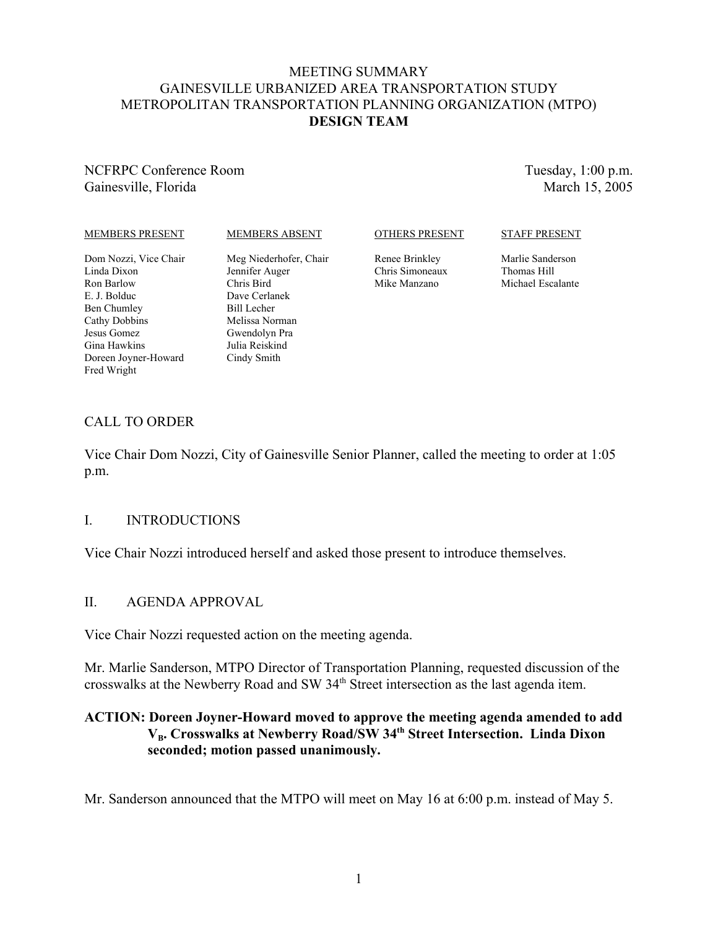#### MEETING SUMMARY GAINESVILLE URBANIZED AREA TRANSPORTATION STUDY METROPOLITAN TRANSPORTATION PLANNING ORGANIZATION (MTPO) **DESIGN TEAM**

## NCFRPC Conference Room Gainesville, Florida

Tuesday, 1:00 p.m. March 15, 2005

#### MEMBERS PRESENT

#### MEMBERS ABSENT

#### OTHERS PRESENT

Renee Brinkley Chris Simoneaux Mike Manzano

## STAFF PRESENT

Marlie Sanderson Thomas Hill Michael Escalante

- Dom Nozzi, Vice Chair Linda Dixon Ron Barlow E. J. Bolduc Ben Chumley Cathy Dobbins Jesus Gomez Gina Hawkins Doreen Joyner-Howard Fred Wright
- Meg Niederhofer, Chair Jennifer Auger Chris Bird Dave Cerlanek Bill Lecher Melissa Norman Gwendolyn Pra Julia Reiskind Cindy Smith

# CALL TO ORDER

Vice Chair Dom Nozzi, City of Gainesville Senior Planner, called the meeting to order at 1:05 p.m.

# I. INTRODUCTIONS

Vice Chair Nozzi introduced herself and asked those present to introduce themselves.

# II. AGENDA APPROVAL

Vice Chair Nozzi requested action on the meeting agenda.

Mr. Marlie Sanderson, MTPO Director of Transportation Planning, requested discussion of the crosswalks at the Newberry Road and SW 34<sup>th</sup> Street intersection as the last agenda item.

# **ACTION: Doreen Joyner-Howard moved to approve the meeting agenda amended to add** V<sub>B</sub>. Crosswalks at Newberry Road/SW 34<sup>th</sup> Street Intersection. Linda Dixon **seconded; motion passed unanimously.**

Mr. Sanderson announced that the MTPO will meet on May 16 at 6:00 p.m. instead of May 5.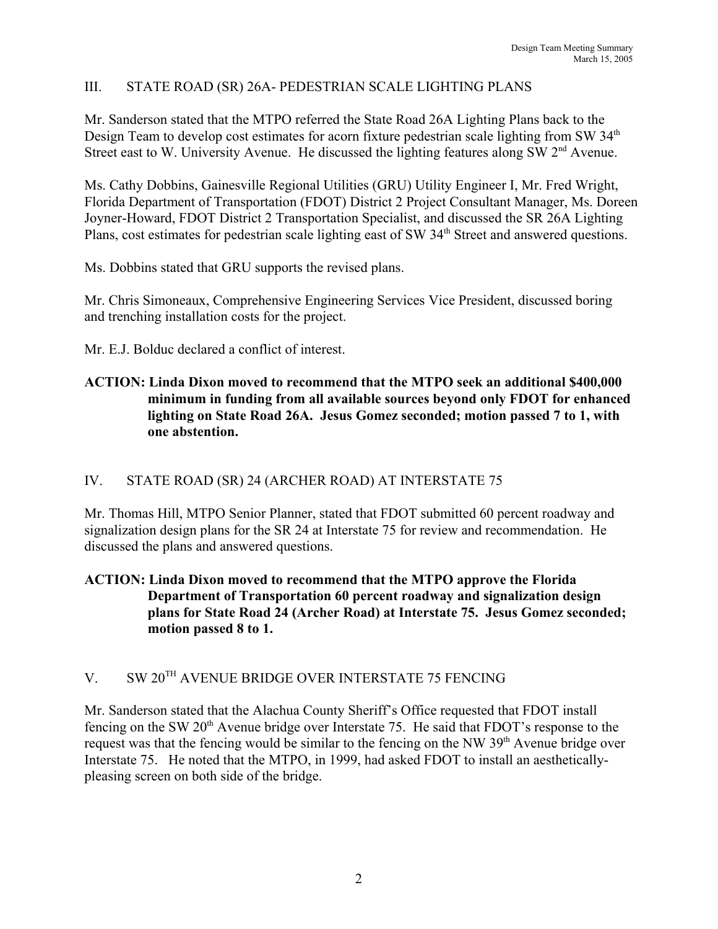# III. STATE ROAD (SR) 26A- PEDESTRIAN SCALE LIGHTING PLANS

Mr. Sanderson stated that the MTPO referred the State Road 26A Lighting Plans back to the Design Team to develop cost estimates for acorn fixture pedestrian scale lighting from SW 34<sup>th</sup> Street east to W. University Avenue. He discussed the lighting features along SW 2<sup>nd</sup> Avenue.

Ms. Cathy Dobbins, Gainesville Regional Utilities (GRU) Utility Engineer I, Mr. Fred Wright, Florida Department of Transportation (FDOT) District 2 Project Consultant Manager, Ms. Doreen Joyner-Howard, FDOT District 2 Transportation Specialist, and discussed the SR 26A Lighting Plans, cost estimates for pedestrian scale lighting east of SW 34<sup>th</sup> Street and answered questions.

Ms. Dobbins stated that GRU supports the revised plans.

Mr. Chris Simoneaux, Comprehensive Engineering Services Vice President, discussed boring and trenching installation costs for the project.

Mr. E.J. Bolduc declared a conflict of interest.

## **ACTION: Linda Dixon moved to recommend that the MTPO seek an additional \$400,000 minimum in funding from all available sources beyond only FDOT for enhanced lighting on State Road 26A. Jesus Gomez seconded; motion passed 7 to 1, with one abstention.**

#### IV. STATE ROAD (SR) 24 (ARCHER ROAD) AT INTERSTATE 75

Mr. Thomas Hill, MTPO Senior Planner, stated that FDOT submitted 60 percent roadway and signalization design plans for the SR 24 at Interstate 75 for review and recommendation. He discussed the plans and answered questions.

## **ACTION: Linda Dixon moved to recommend that the MTPO approve the Florida Department of Transportation 60 percent roadway and signalization design plans for State Road 24 (Archer Road) at Interstate 75. Jesus Gomez seconded; motion passed 8 to 1.**

# V. SW 20TH AVENUE BRIDGE OVER INTERSTATE 75 FENCING

Mr. Sanderson stated that the Alachua County Sheriff's Office requested that FDOT install fencing on the SW  $20<sup>th</sup>$  Avenue bridge over Interstate 75. He said that FDOT's response to the request was that the fencing would be similar to the fencing on the NW 39<sup>th</sup> Avenue bridge over Interstate 75. He noted that the MTPO, in 1999, had asked FDOT to install an aestheticallypleasing screen on both side of the bridge.